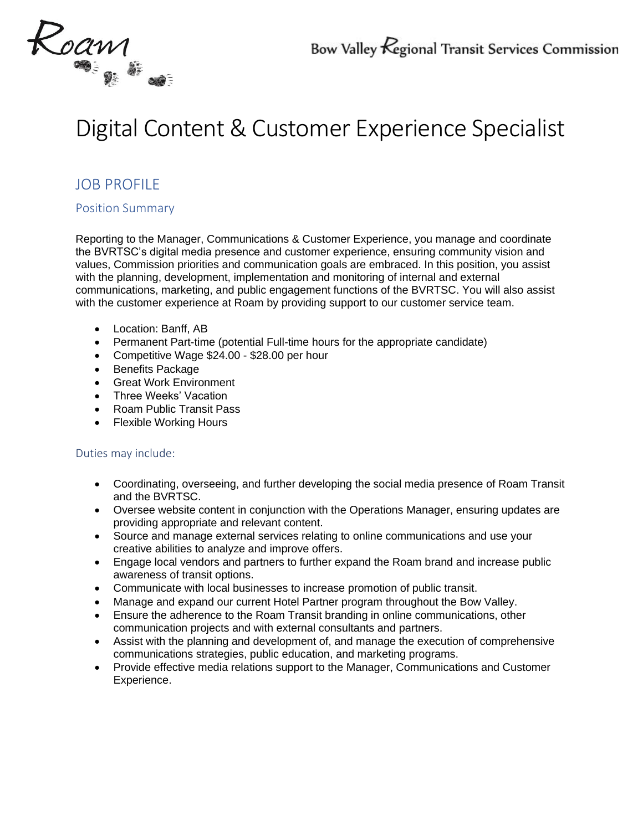

# Digital Content & Customer Experience Specialist

## JOB PROFILE

#### Position Summary

Reporting to the Manager, Communications & Customer Experience, you manage and coordinate the BVRTSC's digital media presence and customer experience, ensuring community vision and values, Commission priorities and communication goals are embraced. In this position, you assist with the planning, development, implementation and monitoring of internal and external communications, marketing, and public engagement functions of the BVRTSC. You will also assist with the customer experience at Roam by providing support to our customer service team.

- Location: Banff, AB
- Permanent Part-time (potential Full-time hours for the appropriate candidate)
- Competitive Wage \$24.00 \$28.00 per hour
- Benefits Package
- Great Work Environment
- Three Weeks' Vacation
- Roam Public Transit Pass
- Flexible Working Hours

#### Duties may include:

- Coordinating, overseeing, and further developing the social media presence of Roam Transit and the BVRTSC.
- Oversee website content in conjunction with the Operations Manager, ensuring updates are providing appropriate and relevant content.
- Source and manage external services relating to online communications and use your creative abilities to analyze and improve offers.
- Engage local vendors and partners to further expand the Roam brand and increase public awareness of transit options.
- Communicate with local businesses to increase promotion of public transit.
- Manage and expand our current Hotel Partner program throughout the Bow Valley.
- Ensure the adherence to the Roam Transit branding in online communications, other communication projects and with external consultants and partners.
- Assist with the planning and development of, and manage the execution of comprehensive communications strategies, public education, and marketing programs.
- Provide effective media relations support to the Manager, Communications and Customer Experience.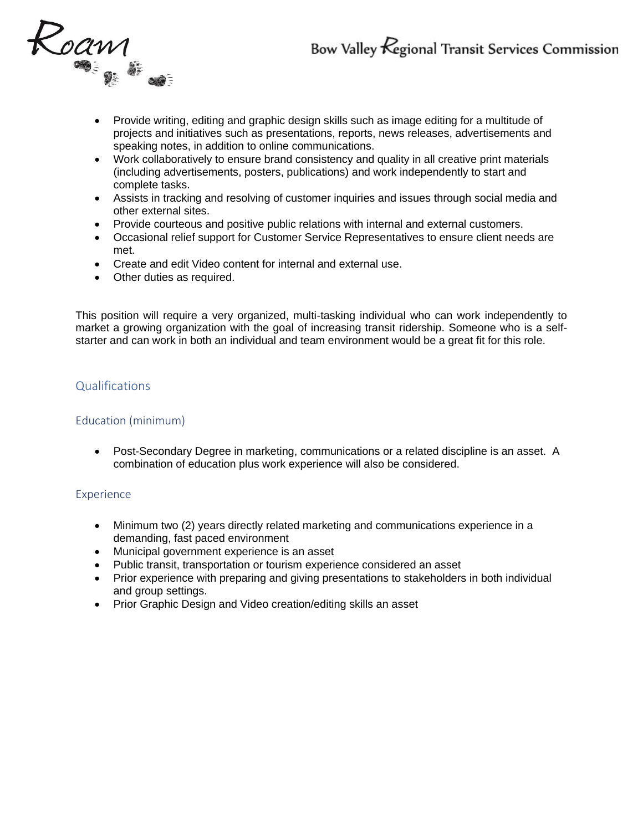

- Provide writing, editing and graphic design skills such as image editing for a multitude of projects and initiatives such as presentations, reports, news releases, advertisements and speaking notes, in addition to online communications.
- Work collaboratively to ensure brand consistency and quality in all creative print materials (including advertisements, posters, publications) and work independently to start and complete tasks.
- Assists in tracking and resolving of customer inquiries and issues through social media and other external sites.
- Provide courteous and positive public relations with internal and external customers.
- Occasional relief support for Customer Service Representatives to ensure client needs are met.
- Create and edit Video content for internal and external use.
- Other duties as required.

This position will require a very organized, multi-tasking individual who can work independently to market a growing organization with the goal of increasing transit ridership. Someone who is a selfstarter and can work in both an individual and team environment would be a great fit for this role.

#### Qualifications

#### Education (minimum)

• Post-Secondary Degree in marketing, communications or a related discipline is an asset. A combination of education plus work experience will also be considered.

#### Experience

- Minimum two (2) years directly related marketing and communications experience in a demanding, fast paced environment
- Municipal government experience is an asset
- Public transit, transportation or tourism experience considered an asset
- Prior experience with preparing and giving presentations to stakeholders in both individual and group settings.
- Prior Graphic Design and Video creation/editing skills an asset